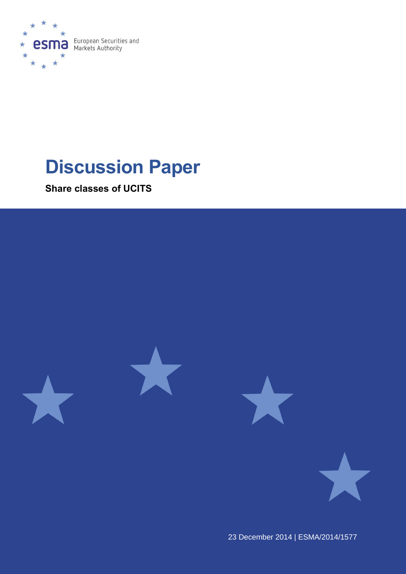

# **Discussion Paper**

**Share classes of UCITS**



23 December 2014 | ESMA/2014/1577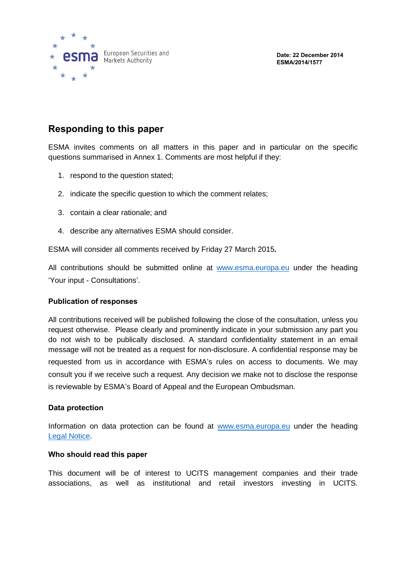

**Date: 22 December 2014 ESMA/2014/1577**

## **Responding to this paper**

ESMA invites comments on all matters in this paper and in particular on the specific questions summarised in Annex 1. Comments are most helpful if they:

- 1. respond to the question stated;
- 2. indicate the specific question to which the comment relates;
- 3. contain a clear rationale; and
- 4. describe any alternatives ESMA should consider.

ESMA will consider all comments received by Friday 27 March 2015**.**

All contributions should be submitted online at [www.esma.europa.eu](http://www.esma.europa.eu/) under the heading 'Your input - Consultations'.

#### **Publication of responses**

All contributions received will be published following the close of the consultation, unless you request otherwise. Please clearly and prominently indicate in your submission any part you do not wish to be publically disclosed. A standard confidentiality statement in an email message will not be treated as a request for non-disclosure. A confidential response may be requested from us in accordance with ESMA's rules on access to documents. We may consult you if we receive such a request. Any decision we make not to disclose the response is reviewable by ESMA's Board of Appeal and the European Ombudsman.

#### **Data protection**

Information on data protection can be found at [www.esma.europa.eu](http://www.esma.europa.eu/) under the heading Legal [Notice.](http://www.esma.europa.eu/legal-notice)

#### **Who should read this paper**

This document will be of interest to UCITS management companies and their trade associations, as well as institutional and retail investors investing in UCITS.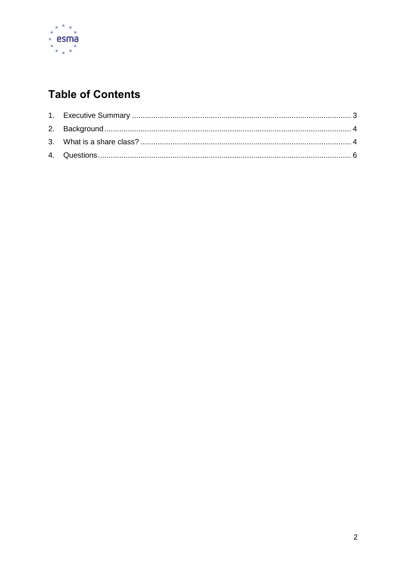

# **Table of Contents**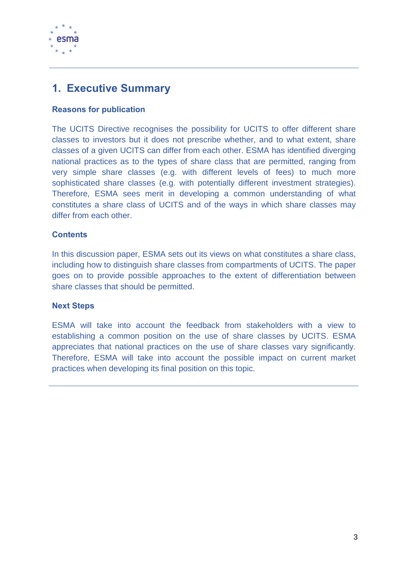

## <span id="page-3-0"></span>**1. Executive Summary**

## **Reasons for publication**

The UCITS Directive recognises the possibility for UCITS to offer different share classes to investors but it does not prescribe whether, and to what extent, share classes of a given UCITS can differ from each other. ESMA has identified diverging national practices as to the types of share class that are permitted, ranging from very simple share classes (e.g. with different levels of fees) to much more sophisticated share classes (e.g. with potentially different investment strategies). Therefore, ESMA sees merit in developing a common understanding of what constitutes a share class of UCITS and of the ways in which share classes may differ from each other.

## **Contents**

In this discussion paper, ESMA sets out its views on what constitutes a share class, including how to distinguish share classes from compartments of UCITS. The paper goes on to provide possible approaches to the extent of differentiation between share classes that should be permitted.

#### **Next Steps**

ESMA will take into account the feedback from stakeholders with a view to establishing a common position on the use of share classes by UCITS. ESMA appreciates that national practices on the use of share classes vary significantly. Therefore, ESMA will take into account the possible impact on current market practices when developing its final position on this topic.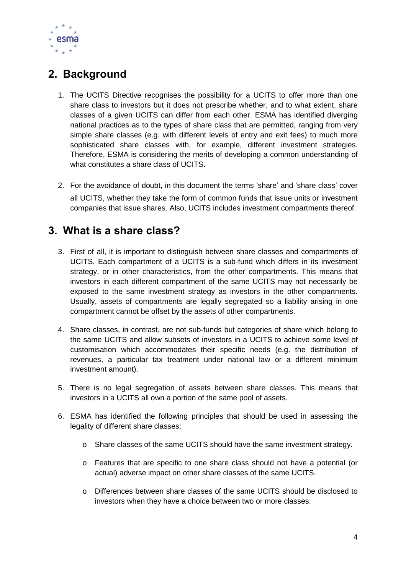

# <span id="page-4-0"></span>**2. Background**

- 1. The UCITS Directive recognises the possibility for a UCITS to offer more than one share class to investors but it does not prescribe whether, and to what extent, share classes of a given UCITS can differ from each other. ESMA has identified diverging national practices as to the types of share class that are permitted, ranging from very simple share classes (e.g. with different levels of entry and exit fees) to much more sophisticated share classes with, for example, different investment strategies. Therefore, ESMA is considering the merits of developing a common understanding of what constitutes a share class of UCITS.
- 2. For the avoidance of doubt, in this document the terms 'share' and 'share class' cover all UCITS, whether they take the form of common funds that issue units or investment companies that issue shares. Also, UCITS includes investment compartments thereof.

## <span id="page-4-1"></span>**3. What is a share class?**

- 3. First of all, it is important to distinguish between share classes and compartments of UCITS. Each compartment of a UCITS is a sub-fund which differs in its investment strategy, or in other characteristics, from the other compartments. This means that investors in each different compartment of the same UCITS may not necessarily be exposed to the same investment strategy as investors in the other compartments. Usually, assets of compartments are legally segregated so a liability arising in one compartment cannot be offset by the assets of other compartments.
- 4. Share classes, in contrast, are not sub-funds but categories of share which belong to the same UCITS and allow subsets of investors in a UCITS to achieve some level of customisation which accommodates their specific needs (e.g. the distribution of revenues, a particular tax treatment under national law or a different minimum investment amount).
- 5. There is no legal segregation of assets between share classes. This means that investors in a UCITS all own a portion of the same pool of assets.
- 6. ESMA has identified the following principles that should be used in assessing the legality of different share classes:
	- o Share classes of the same UCITS should have the same investment strategy.
	- o Features that are specific to one share class should not have a potential (or actual) adverse impact on other share classes of the same UCITS.
	- o Differences between share classes of the same UCITS should be disclosed to investors when they have a choice between two or more classes.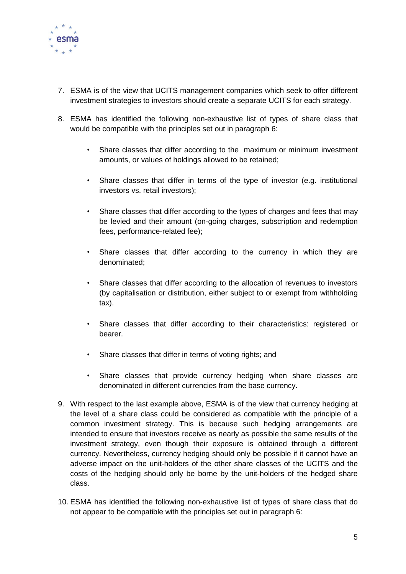

- 7. ESMA is of the view that UCITS management companies which seek to offer different investment strategies to investors should create a separate UCITS for each strategy.
- 8. ESMA has identified the following non-exhaustive list of types of share class that would be compatible with the principles set out in paragraph 6:
	- Share classes that differ according to the maximum or minimum investment amounts, or values of holdings allowed to be retained;
	- Share classes that differ in terms of the type of investor (e.g. institutional investors vs. retail investors);
	- Share classes that differ according to the types of charges and fees that may be levied and their amount (on-going charges, subscription and redemption fees, performance-related fee);
	- Share classes that differ according to the currency in which they are denominated;
	- Share classes that differ according to the allocation of revenues to investors (by capitalisation or distribution, either subject to or exempt from withholding tax).
	- Share classes that differ according to their characteristics: registered or bearer.
	- Share classes that differ in terms of voting rights; and
	- Share classes that provide currency hedging when share classes are denominated in different currencies from the base currency.
- 9. With respect to the last example above, ESMA is of the view that currency hedging at the level of a share class could be considered as compatible with the principle of a common investment strategy. This is because such hedging arrangements are intended to ensure that investors receive as nearly as possible the same results of the investment strategy, even though their exposure is obtained through a different currency. Nevertheless, currency hedging should only be possible if it cannot have an adverse impact on the unit-holders of the other share classes of the UCITS and the costs of the hedging should only be borne by the unit-holders of the hedged share class.
- 10. ESMA has identified the following non-exhaustive list of types of share class that do not appear to be compatible with the principles set out in paragraph 6: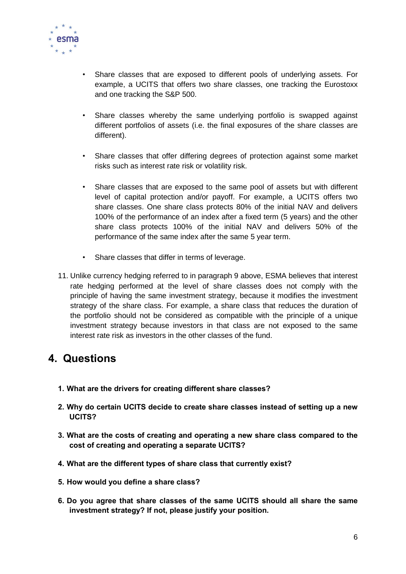

- Share classes that are exposed to different pools of underlying assets. For example, a UCITS that offers two share classes, one tracking the Eurostoxx and one tracking the S&P 500.
- Share classes whereby the same underlying portfolio is swapped against different portfolios of assets (i.e. the final exposures of the share classes are different).
- Share classes that offer differing degrees of protection against some market risks such as interest rate risk or volatility risk.
- Share classes that are exposed to the same pool of assets but with different level of capital protection and/or payoff. For example, a UCITS offers two share classes. One share class protects 80% of the initial NAV and delivers 100% of the performance of an index after a fixed term (5 years) and the other share class protects 100% of the initial NAV and delivers 50% of the performance of the same index after the same 5 year term.
- Share classes that differ in terms of leverage.
- 11. Unlike currency hedging referred to in paragraph 9 above, ESMA believes that interest rate hedging performed at the level of share classes does not comply with the principle of having the same investment strategy, because it modifies the investment strategy of the share class. For example, a share class that reduces the duration of the portfolio should not be considered as compatible with the principle of a unique investment strategy because investors in that class are not exposed to the same interest rate risk as investors in the other classes of the fund.

## <span id="page-6-0"></span>**4. Questions**

- **1. What are the drivers for creating different share classes?**
- **2. Why do certain UCITS decide to create share classes instead of setting up a new UCITS?**
- **3. What are the costs of creating and operating a new share class compared to the cost of creating and operating a separate UCITS?**
- **4. What are the different types of share class that currently exist?**
- **5. How would you define a share class?**
- **6. Do you agree that share classes of the same UCITS should all share the same investment strategy? If not, please justify your position.**